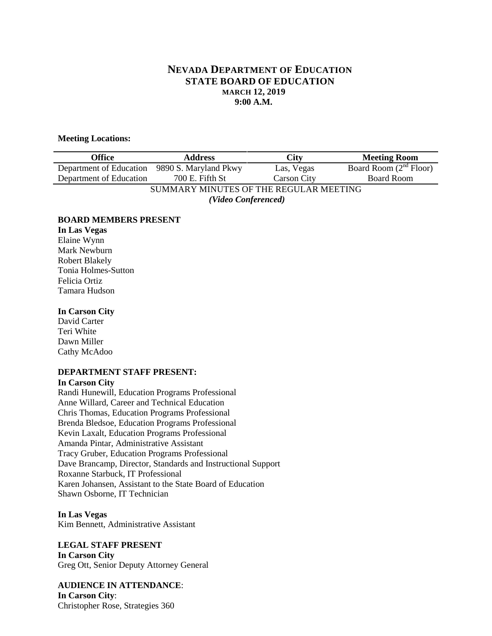# **NEVADA DEPARTMENT OF EDUCATION STATE BOARD OF EDUCATION MARCH 12, 2019 9:00 A.M.**

### **Meeting Locations:**

| <b>Office</b>                          | <b>Address</b>        | <b>City</b>        | <b>Meeting Room</b>      |
|----------------------------------------|-----------------------|--------------------|--------------------------|
| Department of Education                | 9890 S. Maryland Pkwy | Las, Vegas         | Board Room $(2nd$ Floor) |
| Department of Education                | 700 E. Fifth St       | <b>Carson City</b> | <b>Board Room</b>        |
| SUMMARY MINUTES OF THE REGULAR MEETING |                       |                    |                          |
| (Video Conferenced)                    |                       |                    |                          |

#### **BOARD MEMBERS PRESENT**

**In Las Vegas** Elaine Wynn Mark Newburn Robert Blakely Tonia Holmes-Sutton Felicia Ortiz Tamara Hudson

#### **In Carson City**

David Carter Teri White Dawn Miller Cathy McAdoo

### **DEPARTMENT STAFF PRESENT:**

#### **In Carson City**

Randi Hunewill, Education Programs Professional Anne Willard, Career and Technical Education Chris Thomas, Education Programs Professional Brenda Bledsoe, Education Programs Professional Kevin Laxalt, Education Programs Professional Amanda Pintar, Administrative Assistant Tracy Gruber, Education Programs Professional Dave Brancamp, Director, Standards and Instructional Support Roxanne Starbuck, IT Professional Karen Johansen, Assistant to the State Board of Education Shawn Osborne, IT Technician

**In Las Vegas** Kim Bennett, Administrative Assistant

**LEGAL STAFF PRESENT In Carson City** Greg Ott, Senior Deputy Attorney General

**AUDIENCE IN ATTENDANCE**: **In Carson City**: Christopher Rose, Strategies 360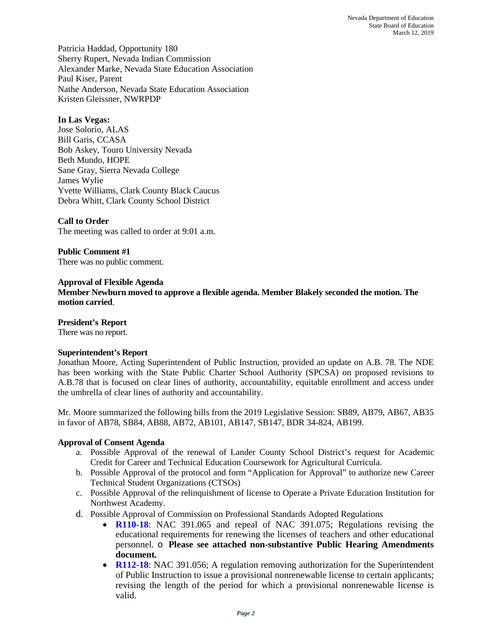Patricia Haddad, Opportunity 180 Sherry Rupert, Nevada Indian Commission Alexander Marke, Nevada State Education Association Paul Kiser, Parent Nathe Anderson, Nevada State Education Association Kristen Gleissner, NWRPDP

### **In Las Vegas:**

Jose Solorio, ALAS Bill Garis, CCASA Bob Askey, Touro University Nevada Beth Mundo, HOPE Sane Gray, Sierra Nevada College James Wylie Yvette Williams, Clark County Black Caucus Debra Whitt, Clark County School District

### **Call to Order**

The meeting was called to order at 9:01 a.m.

**Public Comment #1** There was no public comment.

### **Approval of Flexible Agenda**

**Member Newburn moved to approve a flexible agenda. Member Blakely seconded the motion. The motion carried**.

#### **President's Report**

There was no report.

#### **Superintendent's Report**

Jonathan Moore, Acting Superintendent of Public Instruction, provided an update on A.B. 78. The NDE has been working with the State Public Charter School Authority (SPCSA) on proposed revisions to A.B.78 that is focused on clear lines of authority, accountability, equitable enrollment and access under the umbrella of clear lines of authority and accountability.

Mr. Moore summarized the following bills from the 2019 Legislative Session: SB89, AB79, AB67, AB35 in favor of AB78, SB84, AB88, AB72, AB101, AB147, SB147, BDR 34-824, AB199.

### **Approval of Consent Agenda**

- a. Possible Approval of the renewal of Lander County School District's request for Academic Credit for Career and Technical Education Coursework for Agricultural Curricula.
- b. Possible Approval of the protocol and form "Application for Approval" to authorize new Career Technical Student Organizations (CTSOs)
- c. Possible Approval of the relinquishment of license to Operate a Private Education Institution for Northwest Academy.
- d. Possible Approval of Commission on Professional Standards Adopted Regulations
	- **R110-18**: NAC 391.065 and repeal of NAC 391.075; Regulations revising the educational requirements for renewing the licenses of teachers and other educational personnel. o **Please see attached non-substantive Public Hearing Amendments document***.*
	- **R112-18**: NAC 391.056; A regulation removing authorization for the Superintendent of Public Instruction to issue a provisional nonrenewable license to certain applicants; revising the length of the period for which a provisional nonrenewable license is valid.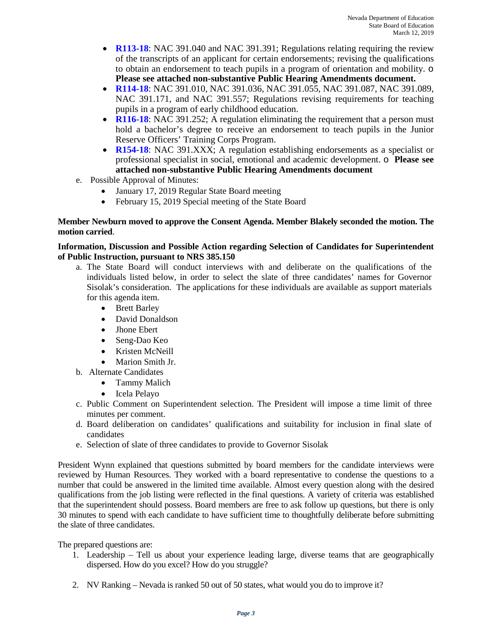- **R113-18**: NAC 391.040 and NAC 391.391; Regulations relating requiring the review of the transcripts of an applicant for certain endorsements; revising the qualifications to obtain an endorsement to teach pupils in a program of orientation and mobility. o **Please see attached non-substantive Public Hearing Amendments document.**
- **R114-18**: NAC 391.010, NAC 391.036, NAC 391.055, NAC 391.087, NAC 391.089, NAC 391.171, and NAC 391.557; Regulations revising requirements for teaching pupils in a program of early childhood education.
- **R116-18**: NAC 391.252; A regulation eliminating the requirement that a person must hold a bachelor's degree to receive an endorsement to teach pupils in the Junior Reserve Officers' Training Corps Program.
- **R154-18**: NAC 391.XXX; A regulation establishing endorsements as a specialist or professional specialist in social, emotional and academic development. o **Please see attached non-substantive Public Hearing Amendments document**
- e. Possible Approval of Minutes:
	- January 17, 2019 Regular State Board meeting
	- February 15, 2019 Special meeting of the State Board

## **Member Newburn moved to approve the Consent Agenda. Member Blakely seconded the motion. The motion carried**.

## **Information, Discussion and Possible Action regarding Selection of Candidates for Superintendent of Public Instruction, pursuant to NRS 385.150**

- a. The State Board will conduct interviews with and deliberate on the qualifications of the individuals listed below, in order to select the slate of three candidates' names for Governor Sisolak's consideration. The applications for these individuals are available as support materials for this agenda item.
	- Brett Barley
	- David Donaldson
	- Jhone Ebert
	- Seng-Dao Keo
	- Kristen McNeill
	- Marion Smith Jr.
- b. Alternate Candidates
	- Tammy Malich
	- Icela Pelayo
- c. Public Comment on Superintendent selection. The President will impose a time limit of three minutes per comment.
- d. Board deliberation on candidates' qualifications and suitability for inclusion in final slate of candidates
- e. Selection of slate of three candidates to provide to Governor Sisolak

President Wynn explained that questions submitted by board members for the candidate interviews were reviewed by Human Resources. They worked with a board representative to condense the questions to a number that could be answered in the limited time available. Almost every question along with the desired qualifications from the job listing were reflected in the final questions. A variety of criteria was established that the superintendent should possess. Board members are free to ask follow up questions, but there is only 30 minutes to spend with each candidate to have sufficient time to thoughtfully deliberate before submitting the slate of three candidates.

The prepared questions are:

- 1. Leadership Tell us about your experience leading large, diverse teams that are geographically dispersed. How do you excel? How do you struggle?
- 2. NV Ranking Nevada is ranked 50 out of 50 states, what would you do to improve it?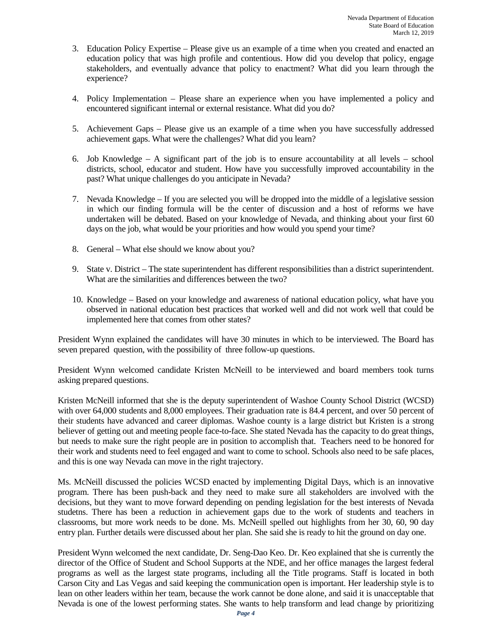- 3. Education Policy Expertise Please give us an example of a time when you created and enacted an education policy that was high profile and contentious. How did you develop that policy, engage stakeholders, and eventually advance that policy to enactment? What did you learn through the experience?
- 4. Policy Implementation Please share an experience when you have implemented a policy and encountered significant internal or external resistance. What did you do?
- 5. Achievement Gaps Please give us an example of a time when you have successfully addressed achievement gaps. What were the challenges? What did you learn?
- 6. Job Knowledge A significant part of the job is to ensure accountability at all levels school districts, school, educator and student. How have you successfully improved accountability in the past? What unique challenges do you anticipate in Nevada?
- 7. Nevada Knowledge If you are selected you will be dropped into the middle of a legislative session in which our finding formula will be the center of discussion and a host of reforms we have undertaken will be debated. Based on your knowledge of Nevada, and thinking about your first 60 days on the job, what would be your priorities and how would you spend your time?
- 8. General What else should we know about you?
- 9. State v. District The state superintendent has different responsibilities than a district superintendent. What are the similarities and differences between the two?
- 10. Knowledge Based on your knowledge and awareness of national education policy, what have you observed in national education best practices that worked well and did not work well that could be implemented here that comes from other states?

 President Wynn explained the candidates will have 30 minutes in which to be interviewed. The Board has seven prepared question, with the possibility of three follow-up questions.

President Wynn welcomed candidate Kristen McNeill to be interviewed and board members took turns asking prepared questions.

Kristen McNeill informed that she is the deputy superintendent of Washoe County School District (WCSD) with over 64,000 students and 8,000 employees. Their graduation rate is 84.4 percent, and over 50 percent of their students have advanced and career diplomas. Washoe county is a large district but Kristen is a strong believer of getting out and meeting people face-to-face. She stated Nevada has the capacity to do great things, but needs to make sure the right people are in position to accomplish that. Teachers need to be honored for their work and students need to feel engaged and want to come to school. Schools also need to be safe places, and this is one way Nevada can move in the right trajectory.

Ms. McNeill discussed the policies WCSD enacted by implementing Digital Days, which is an innovative program. There has been push-back and they need to make sure all stakeholders are involved with the decisions, but they want to move forward depending on pending legislation for the best interests of Nevada studetns. There has been a reduction in achievement gaps due to the work of students and teachers in classrooms, but more work needs to be done. Ms. McNeill spelled out highlights from her 30, 60, 90 day entry plan. Further details were discussed about her plan. She said she is ready to hit the ground on day one.

President Wynn welcomed the next candidate, Dr. Seng-Dao Keo. Dr. Keo explained that she is currently the director of the Office of Student and School Supports at the NDE, and her office manages the largest federal programs as well as the largest state programs, including all the Title programs. Staff is located in both Carson City and Las Vegas and said keeping the communication open is important. Her leadership style is to lean on other leaders within her team, because the work cannot be done alone, and said it is unacceptable that Nevada is one of the lowest performing states. She wants to help transform and lead change by prioritizing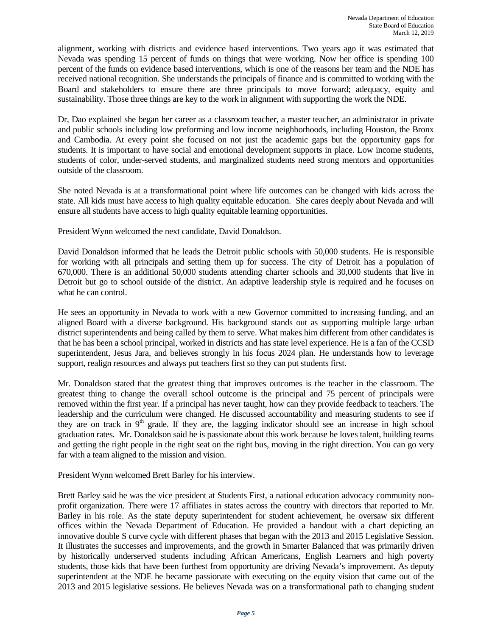alignment, working with districts and evidence based interventions. Two years ago it was estimated that Nevada was spending 15 percent of funds on things that were working. Now her office is spending 100 percent of the funds on evidence based interventions, which is one of the reasons her team and the NDE has received national recognition. She understands the principals of finance and is committed to working with the Board and stakeholders to ensure there are three principals to move forward; adequacy, equity and sustainability. Those three things are key to the work in alignment with supporting the work the NDE.

Dr, Dao explained she began her career as a classroom teacher, a master teacher, an administrator in private and public schools including low preforming and low income neighborhoods, including Houston, the Bronx and Cambodia. At every point she focused on not just the academic gaps but the opportunity gaps for students. It is important to have social and emotional development supports in place. Low income students, students of color, under-served students, and marginalized students need strong mentors and opportunities outside of the classroom.

She noted Nevada is at a transformational point where life outcomes can be changed with kids across the state. All kids must have access to high quality equitable education. She cares deeply about Nevada and will ensure all students have access to high quality equitable learning opportunities.

President Wynn welcomed the next candidate, David Donaldson.

David Donaldson informed that he leads the Detroit public schools with 50,000 students. He is responsible for working with all principals and setting them up for success. The city of Detroit has a population of 670,000. There is an additional 50,000 students attending charter schools and 30,000 students that live in Detroit but go to school outside of the district. An adaptive leadership style is required and he focuses on what he can control.

He sees an opportunity in Nevada to work with a new Governor committed to increasing funding, and an aligned Board with a diverse background. His background stands out as supporting multiple large urban district superintendents and being called by them to serve. What makes him different from other candidates is that he has been a school principal, worked in districts and has state level experience. He is a fan of the CCSD superintendent, Jesus Jara, and believes strongly in his focus 2024 plan. He understands how to leverage support, realign resources and always put teachers first so they can put students first.

Mr. Donaldson stated that the greatest thing that improves outcomes is the teacher in the classroom. The greatest thing to change the overall school outcome is the principal and 75 percent of principals were removed within the first year. If a principal has never taught, how can they provide feedback to teachers. The leadership and the curriculum were changed. He discussed accountability and measuring students to see if they are on track in  $9<sup>th</sup>$  grade. If they are, the lagging indicator should see an increase in high school graduation rates. Mr. Donaldson said he is passionate about this work because he loves talent, building teams and getting the right people in the right seat on the right bus, moving in the right direction. You can go very far with a team aligned to the mission and vision.

President Wynn welcomed Brett Barley for his interview.

Brett Barley said he was the vice president at Students First, a national education advocacy community nonprofit organization. There were 17 affiliates in states across the country with directors that reported to Mr. Barley in his role. As the state deputy superintendent for student achievement, he oversaw six different offices within the Nevada Department of Education. He provided a handout with a chart depicting an innovative double S curve cycle with different phases that began with the 2013 and 2015 Legislative Session. It illustrates the successes and improvements, and the growth in Smarter Balanced that was primarily driven by historically underserved students including African Americans, English Learners and high poverty students, those kids that have been furthest from opportunity are driving Nevada's improvement. As deputy superintendent at the NDE he became passionate with executing on the equity vision that came out of the 2013 and 2015 legislative sessions. He believes Nevada was on a transformational path to changing student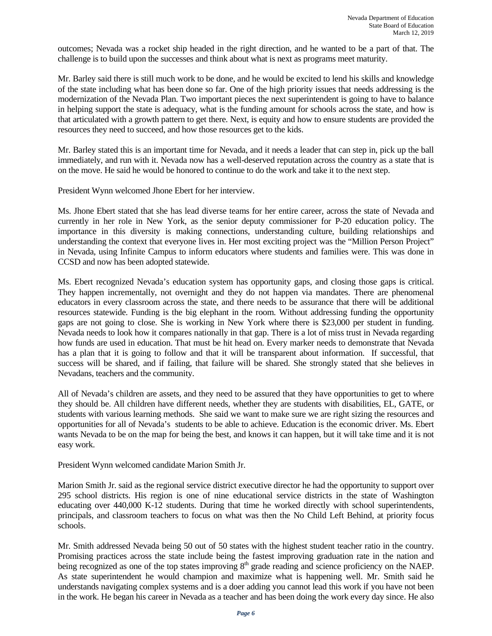outcomes; Nevada was a rocket ship headed in the right direction, and he wanted to be a part of that. The challenge is to build upon the successes and think about what is next as programs meet maturity.

Mr. Barley said there is still much work to be done, and he would be excited to lend his skills and knowledge of the state including what has been done so far. One of the high priority issues that needs addressing is the modernization of the Nevada Plan. Two important pieces the next superintendent is going to have to balance in helping support the state is adequacy, what is the funding amount for schools across the state, and how is that articulated with a growth pattern to get there. Next, is equity and how to ensure students are provided the resources they need to succeed, and how those resources get to the kids.

Mr. Barley stated this is an important time for Nevada, and it needs a leader that can step in, pick up the ball immediately, and run with it. Nevada now has a well-deserved reputation across the country as a state that is on the move. He said he would be honored to continue to do the work and take it to the next step.

President Wynn welcomed Jhone Ebert for her interview.

Ms. Jhone Ebert stated that she has lead diverse teams for her entire career, across the state of Nevada and currently in her role in New York, as the senior deputy commissioner for P-20 education policy. The importance in this diversity is making connections, understanding culture, building relationships and understanding the context that everyone lives in. Her most exciting project was the "Million Person Project" in Nevada, using Infinite Campus to inform educators where students and families were. This was done in CCSD and now has been adopted statewide.

Ms. Ebert recognized Nevada's education system has opportunity gaps, and closing those gaps is critical. They happen incrementally, not overnight and they do not happen via mandates. There are phenomenal educators in every classroom across the state, and there needs to be assurance that there will be additional resources statewide. Funding is the big elephant in the room. Without addressing funding the opportunity gaps are not going to close. She is working in New York where there is \$23,000 per student in funding. Nevada needs to look how it compares nationally in that gap. There is a lot of miss trust in Nevada regarding how funds are used in education. That must be hit head on. Every marker needs to demonstrate that Nevada has a plan that it is going to follow and that it will be transparent about information. If successful, that success will be shared, and if failing, that failure will be shared. She strongly stated that she believes in Nevadans, teachers and the community.

All of Nevada's children are assets, and they need to be assured that they have opportunities to get to where they should be. All children have different needs, whether they are students with disabilities, EL, GATE, or students with various learning methods. She said we want to make sure we are right sizing the resources and opportunities for all of Nevada's students to be able to achieve. Education is the economic driver. Ms. Ebert wants Nevada to be on the map for being the best, and knows it can happen, but it will take time and it is not easy work.

President Wynn welcomed candidate Marion Smith Jr.

Marion Smith Jr. said as the regional service district executive director he had the opportunity to support over 295 school districts. His region is one of nine educational service districts in the state of Washington educating over 440,000 K-12 students. During that time he worked directly with school superintendents, principals, and classroom teachers to focus on what was then the No Child Left Behind, at priority focus schools.

Mr. Smith addressed Nevada being 50 out of 50 states with the highest student teacher ratio in the country. Promising practices across the state include being the fastest improving graduation rate in the nation and being recognized as one of the top states improving  $8<sup>th</sup>$  grade reading and science proficiency on the NAEP. As state superintendent he would champion and maximize what is happening well. Mr. Smith said he understands navigating complex systems and is a doer adding you cannot lead this work if you have not been in the work. He began his career in Nevada as a teacher and has been doing the work every day since. He also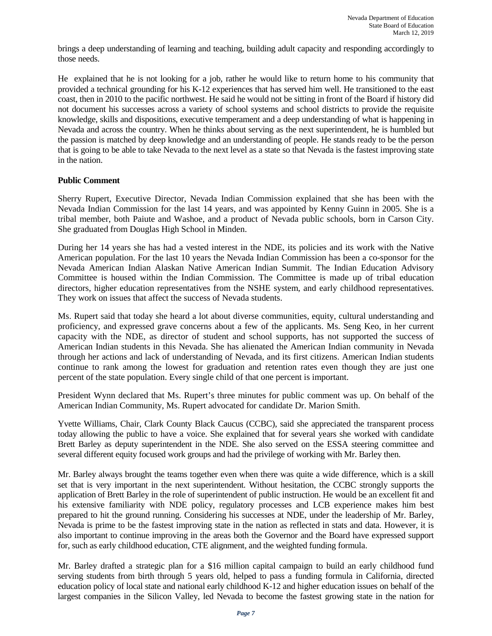brings a deep understanding of learning and teaching, building adult capacity and responding accordingly to those needs.

He explained that he is not looking for a job, rather he would like to return home to his community that provided a technical grounding for his K-12 experiences that has served him well. He transitioned to the east coast, then in 2010 to the pacific northwest. He said he would not be sitting in front of the Board if history did not document his successes across a variety of school systems and school districts to provide the requisite knowledge, skills and dispositions, executive temperament and a deep understanding of what is happening in Nevada and across the country. When he thinks about serving as the next superintendent, he is humbled but the passion is matched by deep knowledge and an understanding of people. He stands ready to be the person that is going to be able to take Nevada to the next level as a state so that Nevada is the fastest improving state in the nation.

### **Public Comment**

Sherry Rupert, Executive Director, Nevada Indian Commission explained that she has been with the Nevada Indian Commission for the last 14 years, and was appointed by Kenny Guinn in 2005. She is a tribal member, both Paiute and Washoe, and a product of Nevada public schools, born in Carson City. She graduated from Douglas High School in Minden.

During her 14 years she has had a vested interest in the NDE, its policies and its work with the Native American population. For the last 10 years the Nevada Indian Commission has been a co-sponsor for the Nevada American Indian Alaskan Native American Indian Summit. The Indian Education Advisory Committee is housed within the Indian Commission. The Committee is made up of tribal education directors, higher education representatives from the NSHE system, and early childhood representatives. They work on issues that affect the success of Nevada students.

Ms. Rupert said that today she heard a lot about diverse communities, equity, cultural understanding and proficiency, and expressed grave concerns about a few of the applicants. Ms. Seng Keo, in her current capacity with the NDE, as director of student and school supports, has not supported the success of American Indian students in this Nevada. She has alienated the American Indian community in Nevada through her actions and lack of understanding of Nevada, and its first citizens. American Indian students continue to rank among the lowest for graduation and retention rates even though they are just one percent of the state population. Every single child of that one percent is important.

President Wynn declared that Ms. Rupert's three minutes for public comment was up. On behalf of the American Indian Community, Ms. Rupert advocated for candidate Dr. Marion Smith.

Yvette Williams, Chair, Clark County Black Caucus (CCBC), said she appreciated the transparent process today allowing the public to have a voice. She explained that for several years she worked with candidate Brett Barley as deputy superintendent in the NDE. She also served on the ESSA steering committee and several different equity focused work groups and had the privilege of working with Mr. Barley then.

Mr. Barley always brought the teams together even when there was quite a wide difference, which is a skill set that is very important in the next superintendent. Without hesitation, the CCBC strongly supports the application of Brett Barley in the role of superintendent of public instruction. He would be an excellent fit and his extensive familiarity with NDE policy, regulatory processes and LCB experience makes him best prepared to hit the ground running. Considering his successes at NDE, under the leadership of Mr. Barley, Nevada is prime to be the fastest improving state in the nation as reflected in stats and data. However, it is also important to continue improving in the areas both the Governor and the Board have expressed support for, such as early childhood education, CTE alignment, and the weighted funding formula.

Mr. Barley drafted a strategic plan for a \$16 million capital campaign to build an early childhood fund serving students from birth through 5 years old, helped to pass a funding formula in California, directed education policy of local state and national early childhood K-12 and higher education issues on behalf of the largest companies in the Silicon Valley, led Nevada to become the fastest growing state in the nation for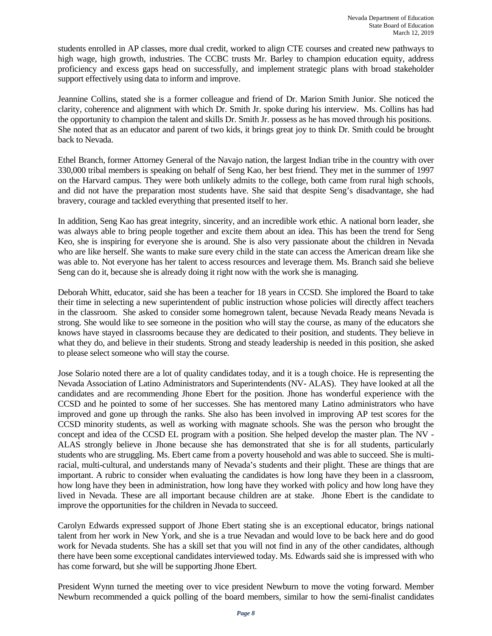students enrolled in AP classes, more dual credit, worked to align CTE courses and created new pathways to high wage, high growth, industries. The CCBC trusts Mr. Barley to champion education equity, address proficiency and excess gaps head on successfully, and implement strategic plans with broad stakeholder support effectively using data to inform and improve.

Jeannine Collins, stated she is a former colleague and friend of Dr. Marion Smith Junior. She noticed the clarity, coherence and alignment with which Dr. Smith Jr. spoke during his interview. Ms. Collins has had the opportunity to champion the talent and skills Dr. Smith Jr. possess as he has moved through his positions. She noted that as an educator and parent of two kids, it brings great joy to think Dr. Smith could be brought back to Nevada.

Ethel Branch, former Attorney General of the Navajo nation, the largest Indian tribe in the country with over 330,000 tribal members is speaking on behalf of Seng Kao, her best friend. They met in the summer of 1997 on the Harvard campus. They were both unlikely admits to the college, both came from rural high schools, and did not have the preparation most students have. She said that despite Seng's disadvantage, she had bravery, courage and tackled everything that presented itself to her.

In addition, Seng Kao has great integrity, sincerity, and an incredible work ethic. A national born leader, she was always able to bring people together and excite them about an idea. This has been the trend for Seng Keo, she is inspiring for everyone she is around. She is also very passionate about the children in Nevada who are like herself. She wants to make sure every child in the state can access the American dream like she was able to. Not everyone has her talent to access resources and leverage them. Ms. Branch said she believe Seng can do it, because she is already doing it right now with the work she is managing.

Deborah Whitt, educator, said she has been a teacher for 18 years in CCSD. She implored the Board to take their time in selecting a new superintendent of public instruction whose policies will directly affect teachers in the classroom. She asked to consider some homegrown talent, because Nevada Ready means Nevada is strong. She would like to see someone in the position who will stay the course, as many of the educators she knows have stayed in classrooms because they are dedicated to their position, and students. They believe in what they do, and believe in their students. Strong and steady leadership is needed in this position, she asked to please select someone who will stay the course.

Jose Solario noted there are a lot of quality candidates today, and it is a tough choice. He is representing the Nevada Association of Latino Administrators and Superintendents (NV- ALAS). They have looked at all the candidates and are recommending Jhone Ebert for the position. Jhone has wonderful experience with the CCSD and he pointed to some of her successes. She has mentored many Latino administrators who have improved and gone up through the ranks. She also has been involved in improving AP test scores for the CCSD minority students, as well as working with magnate schools. She was the person who brought the concept and idea of the CCSD EL program with a position. She helped develop the master plan. The NV - ALAS strongly believe in Jhone because she has demonstrated that she is for all students, particularly students who are struggling. Ms. Ebert came from a poverty household and was able to succeed. She is multiracial, multi-cultural, and understands many of Nevada's students and their plight. These are things that are important. A rubric to consider when evaluating the candidates is how long have they been in a classroom, how long have they been in administration, how long have they worked with policy and how long have they lived in Nevada. These are all important because children are at stake. Jhone Ebert is the candidate to improve the opportunities for the children in Nevada to succeed.

Carolyn Edwards expressed support of Jhone Ebert stating she is an exceptional educator, brings national talent from her work in New York, and she is a true Nevadan and would love to be back here and do good work for Nevada students. She has a skill set that you will not find in any of the other candidates, although there have been some exceptional candidates interviewed today. Ms. Edwards said she is impressed with who has come forward, but she will be supporting Jhone Ebert.

President Wynn turned the meeting over to vice president Newburn to move the voting forward. Member Newburn recommended a quick polling of the board members, similar to how the semi-finalist candidates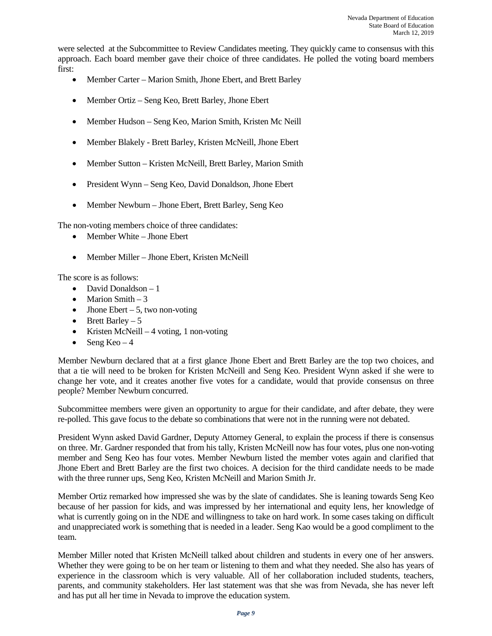were selected at the Subcommittee to Review Candidates meeting. They quickly came to consensus with this approach. Each board member gave their choice of three candidates. He polled the voting board members first:

- Member Carter Marion Smith, Jhone Ebert, and Brett Barley
- Member Ortiz Seng Keo, Brett Barley, Jhone Ebert
- Member Hudson Seng Keo, Marion Smith, Kristen Mc Neill
- Member Blakely Brett Barley, Kristen McNeill, Jhone Ebert
- Member Sutton Kristen McNeill, Brett Barley, Marion Smith
- President Wynn Seng Keo, David Donaldson, Jhone Ebert
- Member Newburn Jhone Ebert, Brett Barley, Seng Keo

The non-voting members choice of three candidates:

- Member White Jhone Ebert
- Member Miller Jhone Ebert, Kristen McNeill

The score is as follows:

- David Donaldson 1
- Marion Smith  $-3$
- Jhone Ebert  $-5$ , two non-voting
- Brett Barley  $-5$
- Kristen McNeill 4 voting, 1 non-voting
- Seng Keo  $-4$

 Member Newburn declared that at a first glance Jhone Ebert and Brett Barley are the top two choices, and that a tie will need to be broken for Kristen McNeill and Seng Keo. President Wynn asked if she were to change her vote, and it creates another five votes for a candidate, would that provide consensus on three people? Member Newburn concurred.

Subcommittee members were given an opportunity to argue for their candidate, and after debate, they were re-polled. This gave focus to the debate so combinations that were not in the running were not debated.

 President Wynn asked David Gardner, Deputy Attorney General, to explain the process if there is consensus on three. Mr. Gardner responded that from his tally, Kristen McNeill now has four votes, plus one non-voting member and Seng Keo has four votes. Member Newburn listed the member votes again and clarified that Jhone Ebert and Brett Barley are the first two choices. A decision for the third candidate needs to be made with the three runner ups, Seng Keo, Kristen McNeill and Marion Smith Jr.

Member Ortiz remarked how impressed she was by the slate of candidates. She is leaning towards Seng Keo because of her passion for kids, and was impressed by her international and equity lens, her knowledge of what is currently going on in the NDE and willingness to take on hard work. In some cases taking on difficult and unappreciated work is something that is needed in a leader. Seng Kao would be a good compliment to the team.

Member Miller noted that Kristen McNeill talked about children and students in every one of her answers. Whether they were going to be on her team or listening to them and what they needed. She also has years of experience in the classroom which is very valuable. All of her collaboration included students, teachers, parents, and community stakeholders. Her last statement was that she was from Nevada, she has never left and has put all her time in Nevada to improve the education system.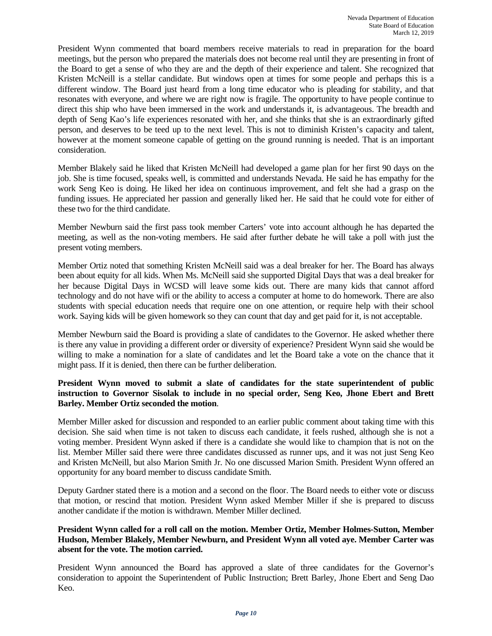President Wynn commented that board members receive materials to read in preparation for the board meetings, but the person who prepared the materials does not become real until they are presenting in front of the Board to get a sense of who they are and the depth of their experience and talent. She recognized that Kristen McNeill is a stellar candidate. But windows open at times for some people and perhaps this is a different window. The Board just heard from a long time educator who is pleading for stability, and that resonates with everyone, and where we are right now is fragile. The opportunity to have people continue to direct this ship who have been immersed in the work and understands it, is advantageous. The breadth and depth of Seng Kao's life experiences resonated with her, and she thinks that she is an extraordinarly gifted person, and deserves to be teed up to the next level. This is not to diminish Kristen's capacity and talent, however at the moment someone capable of getting on the ground running is needed. That is an important consideration.

Member Blakely said he liked that Kristen McNeill had developed a game plan for her first 90 days on the job. She is time focused, speaks well, is committed and understands Nevada. He said he has empathy for the work Seng Keo is doing. He liked her idea on continuous improvement, and felt she had a grasp on the funding issues. He appreciated her passion and generally liked her. He said that he could vote for either of these two for the third candidate.

Member Newburn said the first pass took member Carters' vote into account although he has departed the meeting, as well as the non-voting members. He said after further debate he will take a poll with just the present voting members.

Member Ortiz noted that something Kristen McNeill said was a deal breaker for her. The Board has always been about equity for all kids. When Ms. McNeill said she supported Digital Days that was a deal breaker for her because Digital Days in WCSD will leave some kids out. There are many kids that cannot afford technology and do not have wifi or the ability to access a computer at home to do homework. There are also students with special education needs that require one on one attention, or require help with their school work. Saying kids will be given homework so they can count that day and get paid for it, is not acceptable.

Member Newburn said the Board is providing a slate of candidates to the Governor. He asked whether there is there any value in providing a different order or diversity of experience? President Wynn said she would be willing to make a nomination for a slate of candidates and let the Board take a vote on the chance that it might pass. If it is denied, then there can be further deliberation.

## **President Wynn moved to submit a slate of candidates for the state superintendent of public instruction to Governor Sisolak to include in no special order, Seng Keo, Jhone Ebert and Brett Barley. Member Ortiz seconded the motion**.

Member Miller asked for discussion and responded to an earlier public comment about taking time with this decision. She said when time is not taken to discuss each candidate, it feels rushed, although she is not a voting member. President Wynn asked if there is a candidate she would like to champion that is not on the list. Member Miller said there were three candidates discussed as runner ups, and it was not just Seng Keo and Kristen McNeill, but also Marion Smith Jr. No one discussed Marion Smith. President Wynn offered an opportunity for any board member to discuss candidate Smith.

Deputy Gardner stated there is a motion and a second on the floor. The Board needs to either vote or discuss that motion, or rescind that motion. President Wynn asked Member Miller if she is prepared to discuss another candidate if the motion is withdrawn. Member Miller declined.

### **President Wynn called for a roll call on the motion. Member Ortiz, Member Holmes-Sutton, Member Hudson, Member Blakely, Member Newburn, and President Wynn all voted aye. Member Carter was absent for the vote. The motion carried.**

President Wynn announced the Board has approved a slate of three candidates for the Governor's consideration to appoint the Superintendent of Public Instruction; Brett Barley, Jhone Ebert and Seng Dao Keo.